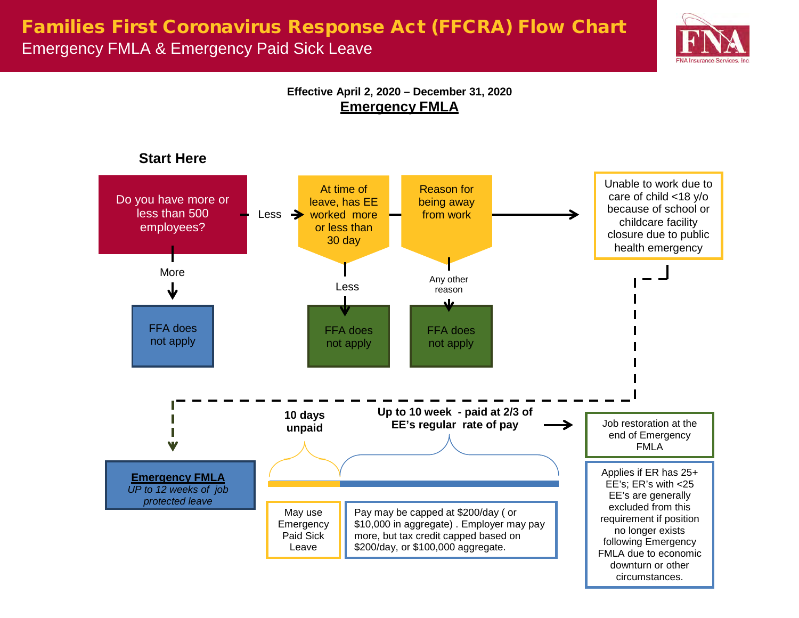## Families First Coronavirus Response Act (FFCRA) Flow Chart Emergency FMLA & Emergency Paid Sick Leave



**Effective April 2, 2020 – December 31, 2020 Emergency FMLA**